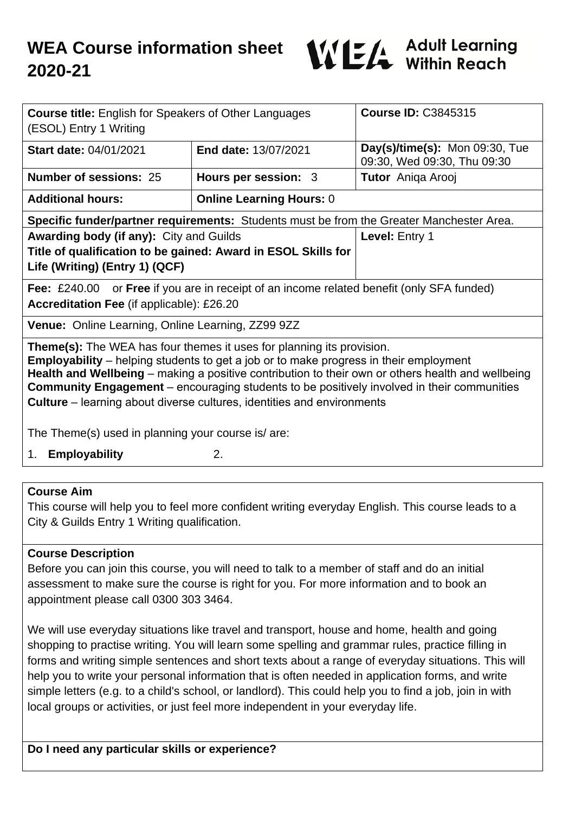

| <b>Course title:</b> English for Speakers of Other Languages<br>(ESOL) Entry 1 Writing                                                                                                                                                                                                                                                                                                                                                                                                                                       |                                 | <b>Course ID: C3845315</b>                                    |
|------------------------------------------------------------------------------------------------------------------------------------------------------------------------------------------------------------------------------------------------------------------------------------------------------------------------------------------------------------------------------------------------------------------------------------------------------------------------------------------------------------------------------|---------------------------------|---------------------------------------------------------------|
| <b>Start date: 04/01/2021</b>                                                                                                                                                                                                                                                                                                                                                                                                                                                                                                | <b>End date: 13/07/2021</b>     | Day(s)/time(s): Mon 09:30, Tue<br>09:30, Wed 09:30, Thu 09:30 |
| <b>Number of sessions: 25</b>                                                                                                                                                                                                                                                                                                                                                                                                                                                                                                | Hours per session: 3            | Tutor Aniqa Arooj                                             |
| <b>Additional hours:</b>                                                                                                                                                                                                                                                                                                                                                                                                                                                                                                     | <b>Online Learning Hours: 0</b> |                                                               |
| Specific funder/partner requirements: Students must be from the Greater Manchester Area.                                                                                                                                                                                                                                                                                                                                                                                                                                     |                                 |                                                               |
| <b>Awarding body (if any): City and Guilds</b><br>Title of qualification to be gained: Award in ESOL Skills for<br>Life (Writing) (Entry 1) (QCF)                                                                                                                                                                                                                                                                                                                                                                            |                                 | Level: Entry 1                                                |
| <b>Fee:</b> £240.00 or <b>Free</b> if you are in receipt of an income related benefit (only SFA funded)<br><b>Accreditation Fee (if applicable): £26.20</b><br>Venue: Online Learning, Online Learning, ZZ99 9ZZ                                                                                                                                                                                                                                                                                                             |                                 |                                                               |
| <b>Theme(s):</b> The WEA has four themes it uses for planning its provision.<br><b>Employability</b> – helping students to get a job or to make progress in their employment<br>Health and Wellbeing – making a positive contribution to their own or others health and wellbeing<br><b>Community Engagement</b> – encouraging students to be positively involved in their communities<br><b>Culture</b> – learning about diverse cultures, identities and environments<br>The Theme(s) used in planning your course is/are: |                                 |                                                               |
|                                                                                                                                                                                                                                                                                                                                                                                                                                                                                                                              |                                 |                                                               |

1. **Employability** 2.

#### **Course Aim**

This course will help you to feel more confident writing everyday English. This course leads to a City & Guilds Entry 1 Writing qualification.

#### **Course Description**

Before you can join this course, you will need to talk to a member of staff and do an initial assessment to make sure the course is right for you. For more information and to book an appointment please call 0300 303 3464.

We will use everyday situations like travel and transport, house and home, health and going shopping to practise writing. You will learn some spelling and grammar rules, practice filling in forms and writing simple sentences and short texts about a range of everyday situations. This will help you to write your personal information that is often needed in application forms, and write simple letters (e.g. to a child's school, or landlord). This could help you to find a job, join in with local groups or activities, or just feel more independent in your everyday life.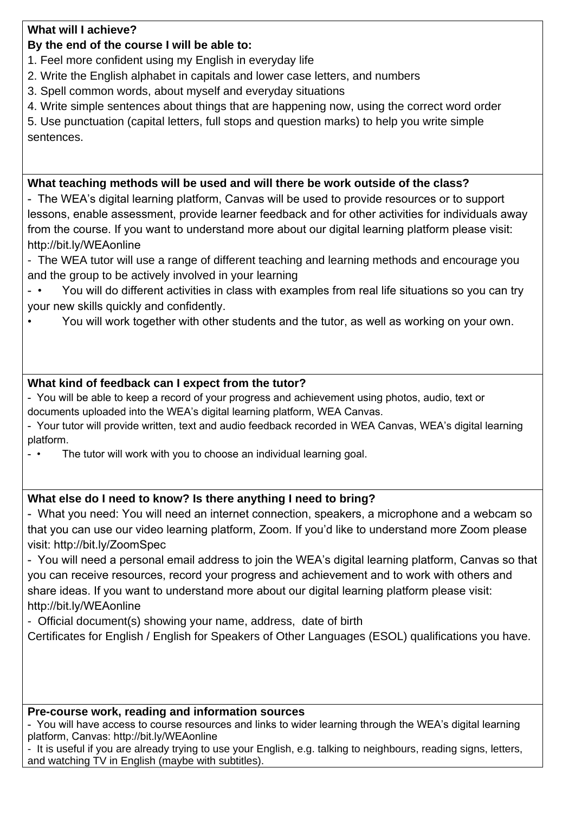### **What will I achieve?**

# **By the end of the course I will be able to:**

- 1. Feel more confident using my English in everyday life
- 2. Write the English alphabet in capitals and lower case letters, and numbers
- 3. Spell common words, about myself and everyday situations
- 4. Write simple sentences about things that are happening now, using the correct word order

5. Use punctuation (capital letters, full stops and question marks) to help you write simple sentences.

## **What teaching methods will be used and will there be work outside of the class?**

- The WEA's digital learning platform, Canvas will be used to provide resources or to support lessons, enable assessment, provide learner feedback and for other activities for individuals away from the course. If you want to understand more about our digital learning platform please visit: http://bit.ly/WEAonline

- The WEA tutor will use a range of different teaching and learning methods and encourage you and the group to be actively involved in your learning
- You will do different activities in class with examples from real life situations so you can try your new skills quickly and confidently.
- You will work together with other students and the tutor, as well as working on your own.

# **What kind of feedback can I expect from the tutor?**

- You will be able to keep a record of your progress and achievement using photos, audio, text or documents uploaded into the WEA's digital learning platform, WEA Canvas.
- Your tutor will provide written, text and audio feedback recorded in WEA Canvas, WEA's digital learning platform.
- • The tutor will work with you to choose an individual learning goal.

# **What else do I need to know? Is there anything I need to bring?**

- What you need: You will need an internet connection, speakers, a microphone and a webcam so that you can use our video learning platform, Zoom. If you'd like to understand more Zoom please visit: http://bit.ly/ZoomSpec

- You will need a personal email address to join the WEA's digital learning platform, Canvas so that you can receive resources, record your progress and achievement and to work with others and share ideas. If you want to understand more about our digital learning platform please visit: http://bit.ly/WEAonline

- Official document(s) showing your name, address, date of birth

Certificates for English / English for Speakers of Other Languages (ESOL) qualifications you have.

# **Pre-course work, reading and information sources**

- You will have access to course resources and links to wider learning through the WEA's digital learning platform, Canvas: http://bit.ly/WEAonline

- It is useful if you are already trying to use your English, e.g. talking to neighbours, reading signs, letters, and watching TV in English (maybe with subtitles).